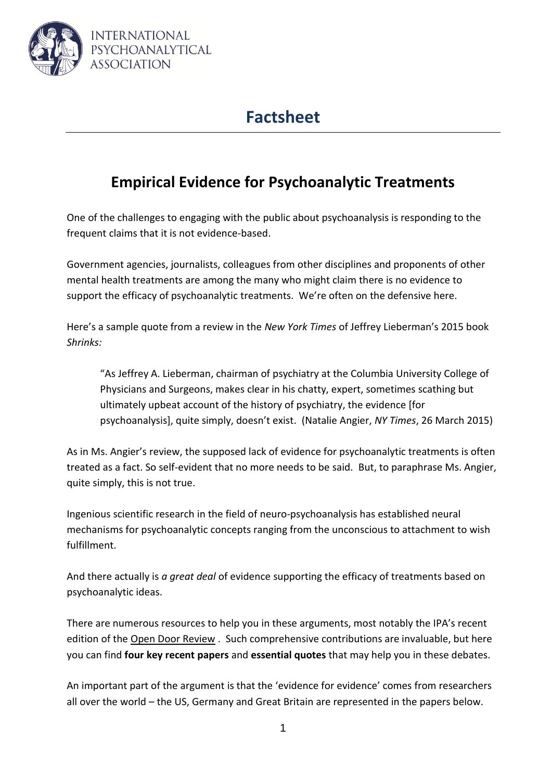

# **Factsheet**

# **Empirical Evidence for Psychoanalytic Treatments**

One of the challenges to engaging with the public about psychoanalysis is responding to the frequent claims that it is not evidence-based.

Government agencies, journalists, colleagues from other disciplines and proponents of other mental health treatments are among the many who might claim there is no evidence to support the efficacy of psychoanalytic treatments. We're often on the defensive here.

Here's a sample quote from a review in the *New York Times* of Jeffrey Lieberman's 2015 book *Shrinks:*

"As Jeffrey A. Lieberman, chairman of psychiatry at the Columbia University College of Physicians and Surgeons, makes clear in his chatty, expert, sometimes scathing but ultimately upbeat account of the history of psychiatry, the evidence [for psychoanalysis], quite simply, doesn't exist. (Natalie Angier, *NY Times*, 26 March 2015)

As in Ms. Angier's review, the supposed lack of evidence for psychoanalytic treatments is often treated as a fact. So self-evident that no more needs to be said. But, to paraphrase Ms. Angier, quite simply, this is not true.

Ingenious scientific research in the field of neuro-psychoanalysis has established neural mechanisms for psychoanalytic concepts ranging from the unconscious to attachment to wish fulfillment.

And there actually is *a great deal* of evidence supporting the efficacy of treatments based on psychoanalytic ideas.

There are numerous resources to help you in these arguments, most notably the IPA's recent edition of the [Open Door Review](http://www.ipa.world/en/What_is_Psychoanalysis/Open_Door_Review/en/Psychoanalytic_Theory/Research/open_door.aspx?hkey=fade476a-ae81-48b3-8fab-280070a69bf6) . Such comprehensive contributions are invaluable, but here you can find **four key recent papers** and **essential quotes** that may help you in these debates.

An important part of the argument is that the 'evidence for evidence' comes from researchers all over the world – the US, Germany and Great Britain are represented in the papers below.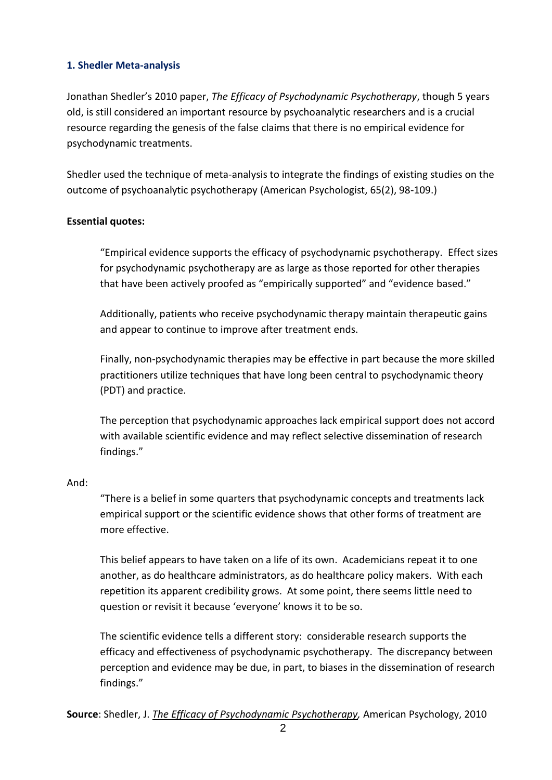## **1. Shedler Meta-analysis**

Jonathan Shedler's 2010 paper, *The Efficacy of Psychodynamic Psychotherapy*, though 5 years old, is still considered an important resource by psychoanalytic researchers and is a crucial resource regarding the genesis of the false claims that there is no empirical evidence for psychodynamic treatments.

Shedler used the technique of meta-analysis to integrate the findings of existing studies on the outcome of psychoanalytic psychotherapy (American Psychologist, 65(2), 98-109.)

## **Essential quotes:**

"Empirical evidence supports the efficacy of psychodynamic psychotherapy. Effect sizes for psychodynamic psychotherapy are as large as those reported for other therapies that have been actively proofed as "empirically supported" and "evidence based."

Additionally, patients who receive psychodynamic therapy maintain therapeutic gains and appear to continue to improve after treatment ends.

Finally, non-psychodynamic therapies may be effective in part because the more skilled practitioners utilize techniques that have long been central to psychodynamic theory (PDT) and practice.

The perception that psychodynamic approaches lack empirical support does not accord with available scientific evidence and may reflect selective dissemination of research findings."

## And:

"There is a belief in some quarters that psychodynamic concepts and treatments lack empirical support or the scientific evidence shows that other forms of treatment are more effective.

This belief appears to have taken on a life of its own. Academicians repeat it to one another, as do healthcare administrators, as do healthcare policy makers. With each repetition its apparent credibility grows. At some point, there seems little need to question or revisit it because 'everyone' knows it to be so.

The scientific evidence tells a different story: considerable research supports the efficacy and effectiveness of psychodynamic psychotherapy. The discrepancy between perception and evidence may be due, in part, to biases in the dissemination of research findings."

**Source**: Shedler, J. *The Efficacy of [Psychodynamic Psychotherapy,](https://www.apa.org/pubs/journals/releases/amp-65-2-98.pdf)* American Psychology, 2010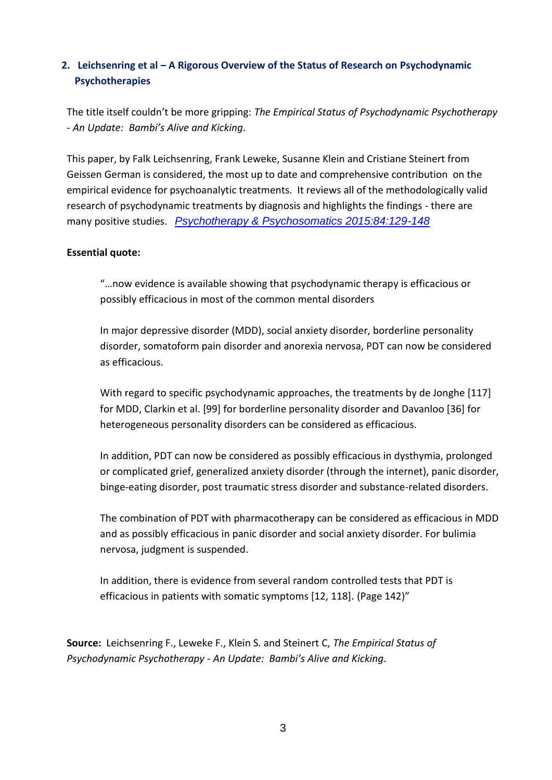# **2. Leichsenring et al – A Rigorous Overview of the Status of Research on Psychodynamic Psychotherapies**

The title itself couldn't be more gripping: *The Empirical Status of Psychodynamic Psychotherapy - An Update: Bambi's Alive and Kicking*.

This paper, by Falk Leichsenring, Frank Leweke, Susanne Klein and Cristiane Steinert from Geissen German is considered, the most up to date and comprehensive contribution on the empirical evidence for psychoanalytic treatments. It reviews all of the methodologically valid research of psychodynamic treatments by diagnosis and highlights the findings - there are many positive studies. *[Psychotherapy & Psychosomatics 2015:84:129-148](http://www.ipa.world/en/What_is_Psychoanalysis/Open_Door_Review/en/Psychoanalytic_Theory/Research/open_door.aspx?hkey=fade476a-ae81-48b3-8fab-280070a69bf6)*

## **Essential quote:**

"…now evidence is available showing that psychodynamic therapy is efficacious or possibly efficacious in most of the common mental disorders

In major depressive disorder (MDD), social anxiety disorder, borderline personality disorder, somatoform pain disorder and anorexia nervosa, PDT can now be considered as efficacious.

With regard to specific psychodynamic approaches, the treatments by de Jonghe [117] for MDD, Clarkin et al. [99] for borderline personality disorder and Davanloo [36] for heterogeneous personality disorders can be considered as efficacious.

In addition, PDT can now be considered as possibly efficacious in dysthymia, prolonged or complicated grief, generalized anxiety disorder (through the internet), panic disorder, binge-eating disorder, post traumatic stress disorder and substance-related disorders.

The combination of PDT with pharmacotherapy can be considered as efficacious in MDD and as possibly efficacious in panic disorder and social anxiety disorder. For bulimia nervosa, judgment is suspended.

In addition, there is evidence from several random controlled tests that PDT is efficacious in patients with somatic symptoms [12, 118]. (Page 142)"

**Source:** Leichsenring F., Leweke F., Klein S. and Steinert C, *The Empirical Status of Psychodynamic Psychotherapy - An Update: Bambi's Alive and Kicking*.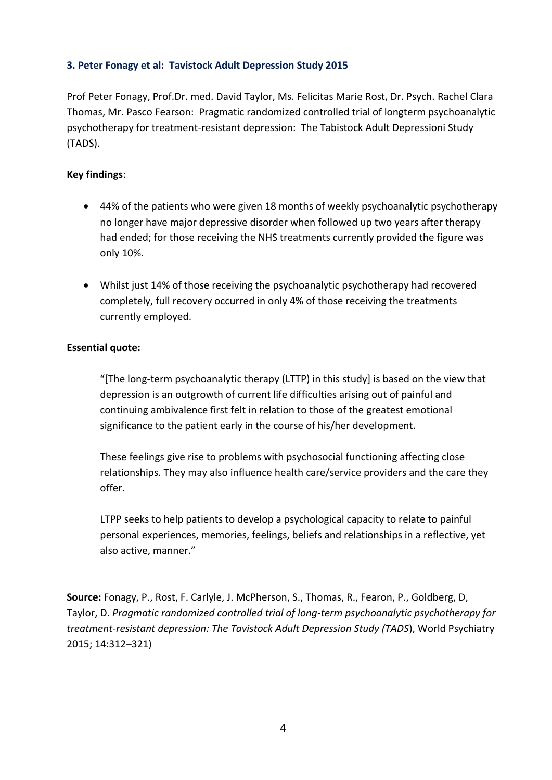#### **3. Peter Fonagy et al: Tavistock Adult Depression Study 2015**

Prof Peter Fonagy, Prof.Dr. med. David Taylor, Ms. Felicitas Marie Rost, Dr. Psych. Rachel Clara Thomas, Mr. Pasco Fearson: Pragmatic randomized controlled trial of longterm psychoanalytic psychotherapy for treatment-resistant depression: The Tabistock Adult Depressioni Study (TADS).

#### **Key findings**:

- 44% of the patients who were given 18 months of weekly psychoanalytic psychotherapy no longer have major depressive disorder when followed up two years after therapy had ended; for those receiving the NHS treatments currently provided the figure was only 10%.
- Whilst just 14% of those receiving the psychoanalytic psychotherapy had recovered completely, full recovery occurred in only 4% of those receiving the treatments currently employed.

#### **Essential quote:**

"[The long-term psychoanalytic therapy (LTTP) in this study] is based on the view that depression is an outgrowth of current life difficulties arising out of painful and continuing ambivalence first felt in relation to those of the greatest emotional significance to the patient early in the course of his/her development.

These feelings give rise to problems with psychosocial functioning affecting close relationships. They may also influence health care/service providers and the care they offer.

LTPP seeks to help patients to develop a psychological capacity to relate to painful personal experiences, memories, feelings, beliefs and relationships in a reflective, yet also active, manner."

**Source:** Fonagy, P., Rost, F. Carlyle, J. McPherson, S., Thomas, R., Fearon, P., Goldberg, D, Taylor, D. *[Pragmatic randomized controlled trial of long-term psychoanalytic psychotherapy for](http://onlinelibrary.wiley.com/doi/10.1002/wps.20267/pdf)  [treatment-resistant depression: The Tavistock Adult Depression Study \(TADS](http://onlinelibrary.wiley.com/doi/10.1002/wps.20267/pdf)*), World Psychiatry 2015; 14:312–321)